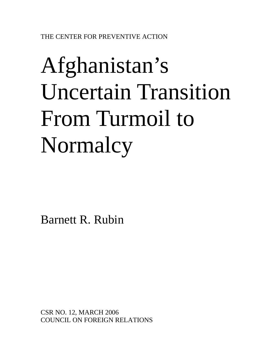THE CENTER FOR PREVENTIVE ACTION

# Afghanistan's Uncertain Transition From Turmoil to Normalcy

Barnett R. Rubin

CSR NO. 12, MARCH 2006 COUNCIL ON FOREIGN RELATIONS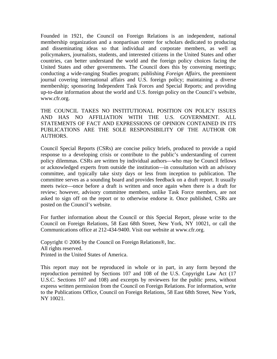Founded in 1921, the Council on Foreign Relations is an independent, national membership organization and a nonpartisan center for scholars dedicated to producing and disseminating ideas so that individual and corporate members, as well as policymakers, journalists, students, and interested citizens in the United States and other countries, can better understand the world and the foreign policy choices facing the United States and other governments. The Council does this by convening meetings; conducting a wide-ranging Studies program; publishing *Foreign Affairs*, the preeminent journal covering international affairs and U.S. foreign policy; maintaining a diverse membership; sponsoring Independent Task Forces and Special Reports; and providing up-to-date information about the world and U.S. foreign policy on the Council's website, www.cfr.org.

THE COUNCIL TAKES NO INSTITUTIONAL POSITION ON POLICY ISSUES AND HAS NO AFFILIATION WITH THE U.S. GOVERNMENT. ALL STATEMENTS OF FACT AND EXPRESSIONS OF OPINION CONTAINED IN ITS PUBLICATIONS ARE THE SOLE RESPONSIBILITY OF THE AUTHOR OR AUTHORS.

Council Special Reports (CSRs) are concise policy briefs, produced to provide a rapid response to a developing crisis or contribute to the public's understanding of current policy dilemmas. CSRs are written by individual authors—who may be Council fellows or acknowledged experts from outside the institution—in consultation with an advisory committee, and typically take sixty days or less from inception to publication. The committee serves as a sounding board and provides feedback on a draft report. It usually meets twice—once before a draft is written and once again when there is a draft for review; however, advisory committee members, unlike Task Force members, are not asked to sign off on the report or to otherwise endorse it. Once published, CSRs are posted on the Council's website.

For further information about the Council or this Special Report, please write to the Council on Foreign Relations, 58 East 68th Street, New York, NY 10021, or call the Communications office at 212-434-9400. Visit our website at www.cfr.org.

Copyright © 2006 by the Council on Foreign Relations®, Inc. All rights reserved. Printed in the United States of America.

This report may not be reproduced in whole or in part, in any form beyond the reproduction permitted by Sections 107 and 108 of the U.S. Copyright Law Act (17 U.S.C. Sections 107 and 108) and excerpts by reviewers for the public press, without express written permission from the Council on Foreign Relations. For information, write to the Publications Office, Council on Foreign Relations, 58 East 68th Street, New York, NY 10021.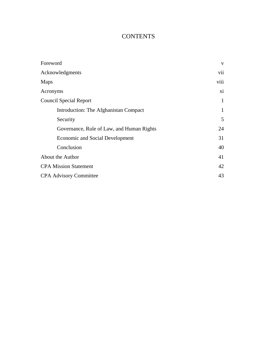# **CONTENTS**

| Foreword                                  | V              |
|-------------------------------------------|----------------|
| Acknowledgments                           | vii            |
| Maps                                      | viii           |
| Acronyms                                  | X <sub>i</sub> |
| <b>Council Special Report</b>             | 1              |
| Introduction: The Afghanistan Compact     | 1              |
| Security                                  | 5              |
| Governance, Rule of Law, and Human Rights | 24             |
| <b>Economic and Social Development</b>    | 31             |
| Conclusion                                | 40             |
| About the Author                          | 41             |
| <b>CPA Mission Statement</b>              | 42             |
| <b>CPA Advisory Committee</b>             | 43             |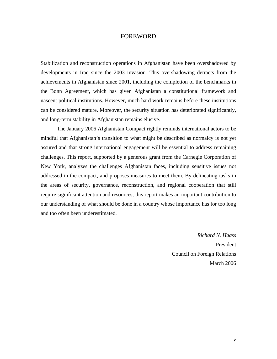# FOREWORD

Stabilization and reconstruction operations in Afghanistan have been overshadowed by developments in Iraq since the 2003 invasion. This overshadowing detracts from the achievements in Afghanistan since 2001, including the completion of the benchmarks in the Bonn Agreement, which has given Afghanistan a constitutional framework and nascent political institutions. However, much hard work remains before these institutions can be considered mature. Moreover, the security situation has deteriorated significantly, and long-term stability in Afghanistan remains elusive.

The January 2006 Afghanistan Compact rightly reminds international actors to be mindful that Afghanistan's transition to what might be described as normalcy is not yet assured and that strong international engagement will be essential to address remaining challenges. This report, supported by a generous grant from the Carnegie Corporation of New York, analyzes the challenges Afghanistan faces, including sensitive issues not addressed in the compact, and proposes measures to meet them. By delineating tasks in the areas of security, governance, reconstruction, and regional cooperation that still require significant attention and resources, this report makes an important contribution to our understanding of what should be done in a country whose importance has for too long and too often been underestimated.

> *Richard N. Haass*  President Council on Foreign Relations March 2006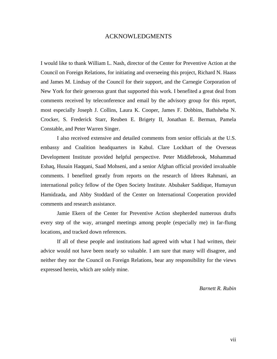# ACKNOWLEDGMENTS

I would like to thank William L. Nash, director of the Center for Preventive Action at the Council on Foreign Relations, for initiating and overseeing this project, Richard N. Haass and James M. Lindsay of the Council for their support, and the Carnegie Corporation of New York for their generous grant that supported this work. I benefited a great deal from comments received by teleconference and email by the advisory group for this report, most especially Joseph J. Collins, Laura K. Cooper, James F. Dobbins, Bathsheba N. Crocker, S. Frederick Starr, Reuben E. Brigety II, Jonathan E. Berman, Pamela Constable, and Peter Warren Singer.

I also received extensive and detailed comments from senior officials at the U.S. embassy and Coalition headquarters in Kabul. Clare Lockhart of the Overseas Development Institute provided helpful perspective. Peter Middlebrook, Mohammad Eshaq, Husain Haqqani, Saad Mohseni, and a senior Afghan official provided invaluable comments. I benefited greatly from reports on the research of Idrees Rahmani, an international policy fellow of the Open Society Institute. Abubaker Saddique, Humayun Hamidzada, and Abby Stoddard of the Center on International Cooperation provided comments and research assistance.

Jamie Ekern of the Center for Preventive Action shepherded numerous drafts every step of the way, arranged meetings among people (especially me) in far-flung locations, and tracked down references.

If all of these people and institutions had agreed with what I had written, their advice would not have been nearly so valuable. I am sure that many will disagree, and neither they nor the Council on Foreign Relations, bear any responsibility for the views expressed herein, which are solely mine.

*Barnett R. Rubin*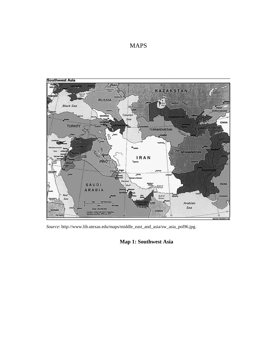# MAPS



 *Source*: http://www.lib.utexas.edu/maps/middle\_east\_and\_asia/sw\_asia\_pol96.jpg.

**Map 1: Southwest Asia**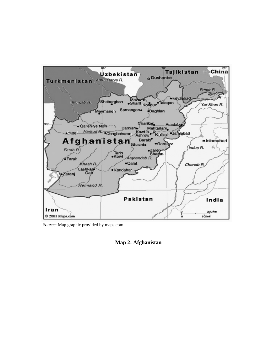

 *Source*: Map graphic provided by maps.com.

**Map 2: Afghanistan**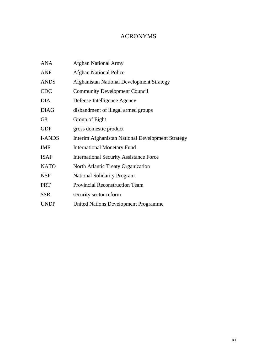# ACRONYMS

| <b>Afghan National Army</b>                       |
|---------------------------------------------------|
| <b>Afghan National Police</b>                     |
| Afghanistan National Development Strategy         |
| <b>Community Development Council</b>              |
| Defense Intelligence Agency                       |
| disbandment of illegal armed groups               |
| Group of Eight                                    |
| gross domestic product                            |
| Interim Afghanistan National Development Strategy |
| <b>International Monetary Fund</b>                |
| <b>International Security Assistance Force</b>    |
| North Atlantic Treaty Organization                |
| <b>National Solidarity Program</b>                |
| <b>Provincial Reconstruction Team</b>             |
| security sector reform                            |
| <b>United Nations Development Programme</b>       |
|                                                   |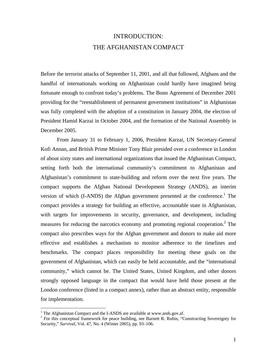# INTRODUCTION: THE AFGHANISTAN COMPACT

Before the terrorist attacks of September 11, 2001, and all that followed, Afghans and the handful of internationals working on Afghanistan could hardly have imagined being fortunate enough to confront today's problems. The Bonn Agreement of December 2001 providing for the "reestablishment of permanent government institutions" in Afghanistan was fully completed with the adoption of a constitution in January 2004, the election of President Hamid Karzai in October 2004, and the formation of the National Assembly in December 2005.

From January 31 to February 1, 2006, President Karzai, UN Secretary-General Kofi Annan, and British Prime Minister Tony Blair presided over a conference in London of about sixty states and international organizations that issued the Afghanistan Compact, setting forth both the international community's commitment to Afghanistan and Afghanistan's commitment to state-building and reform over the next five years. The compact supports the Afghan National Development Strategy (ANDS), an interim version of which (I-ANDS) the Afghan government presented at the conference.<sup>[1](#page-12-0)</sup> The compact provides a strategy for building an effective, accountable state in Afghanistan, with targets for improvements in security, governance, and development, including measures for reducing the narcotics economy and promoting regional cooperation.<sup>[2](#page-12-1)</sup> The compact also prescribes ways for the Afghan government and donors to make aid more effective and establishes a mechanism to monitor adherence to the timelines and benchmarks. The compact places responsibility for meeting these goals on the government of Afghanistan, which can easily be held accountable, and the "international community," which cannot be. The United States, United Kingdom, and other donors strongly opposed language in the compact that would have held those present at the London conference (listed in a compact annex), rather than an abstract entity, responsible for implementation.

1

<span id="page-12-0"></span><sup>&</sup>lt;sup>1</sup> The Afghanistan Compact and the I-ANDS are available at [www.ands.gov.af](http://www.ands.gov.af/).<br><sup>2</sup> Ear this consentual framework for negatively are all propert B. Bubin. "C

<span id="page-12-1"></span><sup>&</sup>lt;sup>2</sup> For this conceptual framework for peace building, see Barnett R. Rubin, "Constructing Sovereignty for Security," *Survival*, Vol. 47, No. 4 (Winter 2005), pp. 93–106.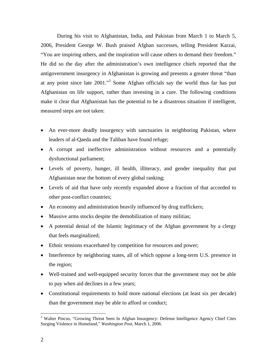During his visit to Afghanistan, India, and Pakistan from March 1 to March 5, 2006, President George W. Bush praised Afghan successes, telling President Karzai, "You are inspiring others, and the inspiration will cause others to demand their freedom." He did so the day after the administration's own intelligence chiefs reported that the antigovernment insurgency in Afghanistan is growing and presents a greater threat "than at any point since late 2001."<sup>[3](#page-13-0)</sup> Some Afghan officials say the world thus far has put Afghanistan on life support, rather than investing in a cure. The following conditions make it clear that Afghanistan has the potential to be a disastrous situation if intelligent, measured steps are not taken:

- An ever-more deadly insurgency with sanctuaries in neighboring Pakistan, where leaders of al-Qaeda and the Taliban have found refuge;
- A corrupt and ineffective administration without resources and a potentially dysfunctional parliament;
- Levels of poverty, hunger, ill health, illiteracy, and gender inequality that put Afghanistan near the bottom of every global ranking;
- Levels of aid that have only recently expanded above a fraction of that accorded to other post-conflict countries;
- An economy and administration heavily influenced by drug traffickers;
- Massive arms stocks despite the demobilization of many militias;
- A potential denial of the Islamic legitimacy of the Afghan government by a clergy that feels marginalized;
- Ethnic tensions exacerbated by competition for resources and power;
- Interference by neighboring states, all of which oppose a long-term U.S. presence in the region;
- Well-trained and well-equipped security forces that the government may not be able to pay when aid declines in a few years;
- Constitutional requirements to hold more national elections (at least six per decade) than the government may be able to afford or conduct;

1

<span id="page-13-0"></span><sup>&</sup>lt;sup>3</sup> [Walter Pincus,](http://projects.washingtonpost.com/staff/email/Walter+Pincus/) "Growing Threat Seen In Afghan Insurgency: Defense Intelligence Agency Chief Cites Surging Violence in Homeland," *Washington Post*, March 1, 2006.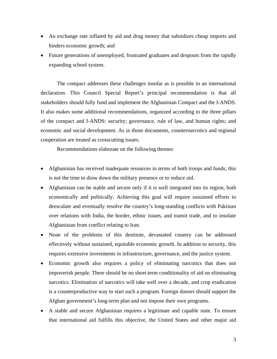- An exchange rate inflated by aid and drug money that subsidizes cheap imports and hinders economic growth; and
- Future generations of unemployed, frustrated graduates and dropouts from the rapidly expanding school system.

The compact addresses these challenges insofar as is possible in an international declaration. This Council Special Report's principal recommendation is that all stakeholders should fully fund and implement the Afghanistan Compact and the I-ANDS. It also makes some additional recommendations, organized according to the three pillars of the compact and I-ANDS: security; governance, rule of law, and human rights; and economic and social development. As in those documents, counternarcotics and regional cooperation are treated as crosscutting issues.

Recommendations elaborate on the following themes:

- Afghanistan has received inadequate resources in terms of both troops and funds; this is not the time to draw down the military presence or to reduce aid.
- Afghanistan can be stable and secure only if it is well integrated into its region, both economically and politically. Achieving this goal will require sustained efforts to deescalate and eventually resolve the country's long-standing conflicts with Pakistan over relations with India, the border, ethnic issues, and transit trade, and to insulate Afghanistan from conflict relating to Iran.
- None of the problems of this destitute, devastated country can be addressed effectively without sustained, equitable economic growth. In addition to security, this requires extensive investments in infrastructure, governance, and the justice system.
- Economic growth also requires a policy of eliminating narcotics that does not impoverish people. There should be no short-term conditionality of aid on eliminating narcotics. Elimination of narcotics will take well over a decade, and crop eradication is a counterproductive way to start such a program. Foreign donors should support the Afghan government's long-term plan and not impose their own programs.
- A stable and secure Afghanistan requires a legitimate and capable state. To ensure that international aid fulfills this objective, the United States and other major aid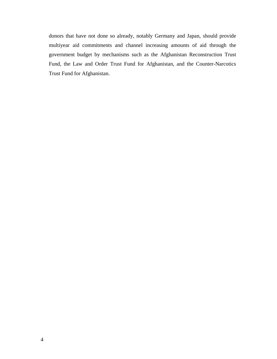donors that have not done so already, notably Germany and Japan, should provide multiyear aid commitments and channel increasing amounts of aid through the government budget by mechanisms such as the Afghanistan Reconstruction Trust Fund, the Law and Order Trust Fund for Afghanistan, and the Counter-Narcotics Trust Fund for Afghanistan.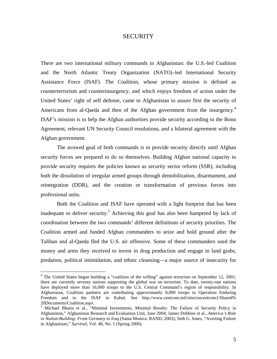# **SECURITY**

There are two international military commands in Afghanistan: the U.S.-led Coalition and the North Atlantic Treaty Organization (NATO)–led International Security Assistance Force (ISAF). The Coalition, whose primary mission is defined as counterterrorism and counterinsurgency, and which enjoys freedom of action under the United States' right of self defense, came to Afghanistan to assure first the security of Americans from al-Qaeda and then of the Afghan government from the insurgency.<sup>4</sup> ISAF's mission is to help the Afghan authorities provide security according to the Bonn Agreement, relevant UN Security Council resolutions, and a bilateral agreement with the Afghan government.

The avowed goal of both commands is to provide security directly until Afghan security forces are prepared to do so themselves. Building Afghan national capacity to provide security requires the policies known as security sector reform (SSR), including both the dissolution of irregular armed groups through demobilization, disarmament, and reintegration (DDR), and the creation or transformation of previous forces into professional units.

Both the Coalition and ISAF have operated with a light footprint that has been inadequate to deliver security.<sup>[5](#page-16-1)</sup> Achieving this goal has also been hampered by lack of coordination between the two commands' different definitions of security priorities. The Coalition armed and funded Afghan commanders to seize and hold ground after the Taliban and al-Qaeda fled the U.S. air offensive. Some of these commanders used the money and arms they received to invest in drug production and engage in land grabs, predation, political intimidation, and ethnic cleansing––a major source of insecurity for

 $\overline{a}$ 

<span id="page-16-0"></span><sup>&</sup>lt;sup>4</sup> The United States began building a "coalition of the willing" against terrorism on September 12, 2001; there are currently seventy nations supporting the global war on terrorism. To date, twenty-one nations have deployed more than 16,000 troops to the U.S. Central Command's region of responsibility. In Afghanistan, Coalition partners are contributing approximately 8,000 troops to Operation Enduring Freedom and to the ISAF in Kabul. See http://www.centcom.mil/sites/uscentcom1/Shared% 20Documents/Coalition.aspx.<br><sup>5</sup> Michael Bhatia et al., "Minimal Investments, Minimal Results: The Failure of Security Policy in

<span id="page-16-1"></span>Afghanistan," Afghanistan Research and Evaluation Unit, June 2004; James Dobbins et al., *America's Role in Nation-Building: From Germany to Iraq* (Santa Monica: RAND, 2003); Seth G. Jones, "Averting Failure in Afghanistan," *Survival*, Vol. 48, No. 1 (Spring 2006).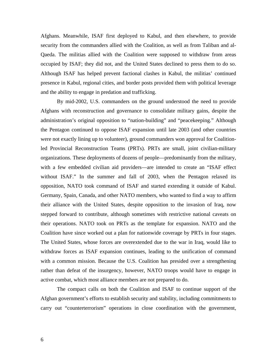Afghans. Meanwhile, ISAF first deployed to Kabul, and then elsewhere, to provide security from the commanders allied with the Coalition, as well as from Taliban and al-Qaeda. The militias allied with the Coalition were supposed to withdraw from areas occupied by ISAF; they did not, and the United States declined to press them to do so. Although ISAF has helped prevent factional clashes in Kabul, the militias' continued presence in Kabul, regional cities, and border posts provided them with political leverage and the ability to engage in predation and trafficking.

By mid-2002, U.S. commanders on the ground understood the need to provide Afghans with reconstruction and governance to consolidate military gains, despite the administration's original opposition to "nation-building" and "peacekeeping." Although the Pentagon continued to oppose ISAF expansion until late 2003 (and other countries were not exactly lining up to volunteer), ground commanders won approval for Coalitionled Provincial Reconstruction Teams (PRTs). PRTs are small, joint civilian-military organizations. These deployments of dozens of people—predominantly from the military, with a few embedded civilian aid providers—are intended to create an "ISAF effect without ISAF." In the summer and fall of 2003, when the Pentagon relaxed its opposition, NATO took command of ISAF and started extending it outside of Kabul. Germany, Spain, Canada, and other NATO members, who wanted to find a way to affirm their alliance with the United States, despite opposition to the invasion of Iraq, now stepped forward to contribute, although sometimes with restrictive national caveats on their operations. NATO took on PRTs as the template for expansion. NATO and the Coalition have since worked out a plan for nationwide coverage by PRTs in four stages. The United States, whose forces are overextended due to the war in Iraq, would like to withdraw forces as ISAF expansion continues, leading to the unification of command with a common mission. Because the U.S. Coalition has presided over a strengthening rather than defeat of the insurgency, however, NATO troops would have to engage in active combat, which most alliance members are not prepared to do.

The compact calls on both the Coalition and ISAF to continue support of the Afghan government's efforts to establish security and stability, including commitments to carry out "counterterrorism" operations in close coordination with the government,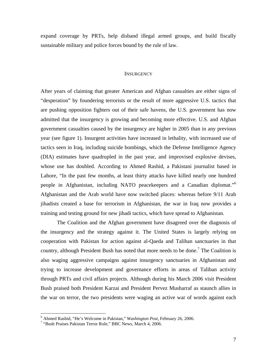expand coverage by PRTs, help disband illegal armed groups, and build fiscally sustainable military and police forces bound by the rule of law.

#### **INSURGENCY**

After years of claiming that greater American and Afghan casualties are either signs of "desperation" by foundering terrorists or the result of more aggressive U.S. tactics that are pushing opposition fighters out of their safe havens, the U.S. government has now admitted that the insurgency is growing and becoming more effective. U.S. and Afghan government casualties caused by the insurgency are higher in 2005 than in any previous year (see figure 1). Insurgent activities have increased in lethality, with increased use of tactics seen in Iraq, including suicide bombings, which the Defense Intelligence Agency (DIA) estimates have quadrupled in the past year, and improvised explosive devises, whose use has doubled. According to Ahmed Rashid, a Pakistani journalist based in Lahore, "In the past few months, at least thirty attacks have killed nearly one hundred people in Afghanistan, including NATO peacekeepers and a Canadian diplomat."[6](#page-18-0) Afghanistan and the Arab world have now switched places: whereas before 9/11 Arab jihadists created a base for terrorism in Afghanistan, the war in Iraq now provides a training and testing ground for new jihadi tactics, which have spread to Afghanistan.

The Coalition and the Afghan government have disagreed over the diagnosis of the insurgency and the strategy against it. The United States is largely relying on cooperation with Pakistan for action against al-Qaeda and Taliban sanctuaries in that country, although President Bush has noted that more needs to be done.<sup>[7](#page-18-1)</sup> The Coalition is also waging aggressive campaigns against insurgency sanctuaries in Afghanistan and trying to increase development and governance efforts in areas of Taliban activity through PRTs and civil affairs projects. Although during his March 2006 visit President Bush praised both President Karzai and President Pervez Musharraf as staunch allies in the war on terror, the two presidents were waging an active war of words against each

<sup>&</sup>lt;sup>6</sup> Ahmed Rashid, "He's Welcome in Pakistan," *Washington Post*, February 26, 2006.

<span id="page-18-1"></span><span id="page-18-0"></span><sup>&</sup>lt;sup>7</sup> "Bush Praises Pakistan Terror Role," BBC News, March 4, 2006.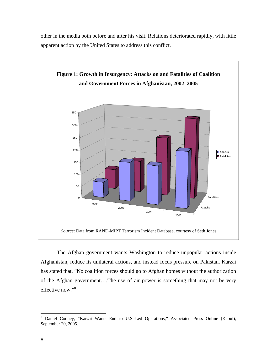



The Afghan government wants Washington to reduce unpopular actions inside Afghanistan, reduce its unilateral actions, and instead focus pressure on Pakistan. Karzai has stated that, "No coalition forces should go to Afghan homes without the authorization of the Afghan government….The use of air power is something that may not be very effective now."<sup>[8](#page-19-0)</sup>

<span id="page-19-0"></span> 8 Daniel Cooney, "Karzai Wants End to U.S.-Led Operations," Associated Press Online (Kabul), September 20, 2005.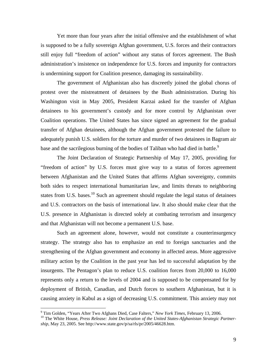Yet more than four years after the initial offensive and the establishment of what is supposed to be a fully sovereign Afghan government, U.S. forces and their contractors still enjoy full "freedom of action" without any status of forces agreement. The Bush administration's insistence on independence for U.S. forces and impunity for contractors is undermining support for Coalition presence, damaging its sustainability.

The government of Afghanistan also has discreetly joined the global chorus of protest over the mistreatment of detainees by the Bush administration. During his Washington visit in May 2005, President Karzai asked for the transfer of Afghan detainees to his government's custody and for more control by Afghanistan over Coalition operations. The United States has since signed an agreement for the gradual transfer of Afghan detainees, although the Afghan government protested the failure to adequately punish U.S. soldiers for the torture and murder of two detainees in Bagram air base and the sacrilegious burning of the bodies of Taliban who had died in battle.<sup>[9](#page-20-0)</sup>

The Joint Declaration of Strategic Partnership of May 17, 2005, providing for "freedom of action" by U.S. forces must give way to a status of forces agreement between Afghanistan and the United States that affirms Afghan sovereignty, commits both sides to respect international humanitarian law, and limits threats to neighboring states from U.S. bases.<sup>10</sup> Such an agreement should regulate the legal status of detainees and U.S. contractors on the basis of international law. It also should make clear that the U.S. presence in Afghanistan is directed solely at combating terrorism and insurgency and that Afghanistan will not become a permanent U.S. base.

Such an agreement alone, however, would not constitute a counterinsurgency strategy. The strategy also has to emphasize an end to foreign sanctuaries and the strengthening of the Afghan government and economy in affected areas. More aggressive military action by the Coalition in the past year has led to successful adaptation by the insurgents. The Pentagon's plan to reduce U.S. coalition forces from 20,000 to 16,000 represents only a return to the levels of 2004 and is supposed to be compensated for by deployment of British, Canadian, and Dutch forces to southern Afghanistan, but it is causing anxiety in Kabul as a sign of decreasing U.S. commitment. This anxiety may not

1

<span id="page-20-0"></span><sup>&</sup>lt;sup>9</sup> Tim Golden, "Years After Two Afghans Died, Case Falters," New York Times, February 13, 2006.

<span id="page-20-1"></span><sup>&</sup>lt;sup>10</sup> The White House, Press Release: Joint Declaration of the United States-Afghanistan Strategic Partner*ship*, May 23, 2005. See [http://www.state.gov/p/sa/rls/pr/2005/46628.htm.](http://www.state.gov/p/sa/rls/pr/2005/46628.htm)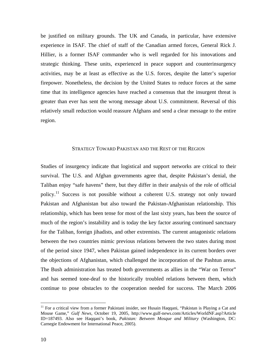be justified on military grounds. The UK and Canada, in particular, have extensive experience in ISAF. The chief of staff of the Canadian armed forces, General Rick J. Hillier, is a former ISAF commander who is well regarded for his innovations and strategic thinking. These units, experienced in peace support and counterinsurgency activities, may be at least as effective as the U.S. forces, despite the latter's superior firepower. Nonetheless, the decision by the United States to reduce forces at the same time that its intelligence agencies have reached a consensus that the insurgent threat is greater than ever has sent the wrong message about U.S. commitment. Reversal of this relatively small reduction would reassure Afghans and send a clear message to the entire region.

# STRATEGY TOWARD PAKISTAN AND THE REST OF THE REGION

Studies of insurgency indicate that logistical and support networks are critical to their survival. The U.S. and Afghan governments agree that, despite Pakistan's denial, the Taliban enjoy "safe havens" there, but they differ in their analysis of the role of official policy.<sup>11</sup> Success is not possible without a coherent U.S. strategy not only toward Pakistan and Afghanistan but also toward the Pakistan-Afghanistan relationship. This relationship, which has been tense for most of the last sixty years, has been the source of much of the region's instability and is today the key factor assuring continued sanctuary for the Taliban, foreign jihadists, and other extremists. The current antagonistic relations between the two countries mimic previous relations between the two states during most of the period since 1947, when Pakistan gained independence in its current borders over the objections of Afghanistan, which challenged the incorporation of the Pashtun areas. The Bush administration has treated both governments as allies in the "War on Terror" and has seemed tone-deaf to the historically troubled relations between them, which continue to pose obstacles to the cooperation needed for success. The March 2006

 $\overline{a}$ 

<span id="page-21-0"></span><sup>&</sup>lt;sup>11</sup> For a critical view from a former Pakistani insider, see Husain Haqqani, "Pakistan is Playing a Cat and Mouse Game," *Gulf News*, October 19, 2005, http://www.gulf-news.com/Articles/WorldNF.asp?Article ID=187493. Also see Haqqani's book, *Pakistan: Between Mosque and Military* (Washington, DC: Carnegie Endowment for International Peace, 2005).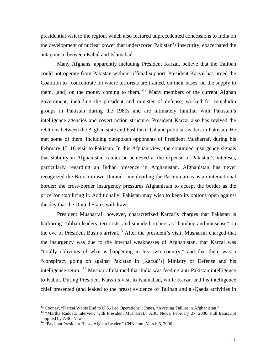presidential visit to the region, which also featured unprecedented concessions to India on the development of nuclear power that underscored Pakistan's insecurity, exacerbated the antagonism between Kabul and Islamabad.

Many Afghans, apparently including President Karzai, believe that the Taliban could not operate from Pakistan without official support. President Karzai has urged the Coalition to "concentrate on where terrorists are trained, on their bases, on the supply to them, [and] on the money coming to them."<sup>12</sup> Many members of the current Afghan government, including the president and minister of defense, worked for mujahidin groups in Pakistan during the 1980s and are intimately familiar with Pakistan's intelligence agencies and covert action structure. President Karzai also has revived the relations between the Afghan state and Pashtun tribal and political leaders in Pakistan. He met some of them, including outspoken opponents of President Musharraf, during his February 15–16 visit to Pakistan. In this Afghan view, the continued insurgency signals that stability in Afghanistan cannot be achieved at the expense of Pakistan's interests, particularly regarding an Indian presence in Afghanistan. Afghanistan has never recognized the British-drawn Durand Line dividing the Pashtun areas as an international border; the cross-border insurgency pressures Afghanistan to accept the border as the price for stabilizing it. Additionally, Pakistan may wish to keep its options open against the day that the United States withdraws.

President Musharraf, however, characterized Karzai's charges that Pakistan is harboring Taliban leaders, terrorists, and suicide bombers as "humbug and nonsense" on the eve of President Bush's arrival.<sup>13</sup> After the president's visit, Musharraf charged that the insurgency was due to the internal weaknesses of Afghanistan, that Karzai was "totally oblivious of what is happening in his own country," and that there was a "conspiracy going on against Pakistan in [Karzai's] Ministry of Defense and his intelligence setup.["14](#page-22-2) Musharraf claimed that India was feeding anti-Pakistan intelligence to Kabul. During President Karzai's visit to Islamabad, while Karzai and his intelligence chief presented (and leaked to the press) evidence of Taliban and al-Qaeda activities in

 $\overline{a}$ 

<span id="page-22-1"></span><span id="page-22-0"></span>

<sup>&</sup>lt;sup>12</sup> Cooney, "Karzai Wants End to U.S.-Led Operations"; Jones, "Averting Failure in Afghanistan."  $^{13}$  "Martha Raddatz interview with President Musharraf," ABC News, February 27, 2006. Full transcript supplied by ABC News.<br><sup>14</sup> "Pakistan President Blasts Afghan Leader," CNN.com, March 6, 2006.

<span id="page-22-2"></span>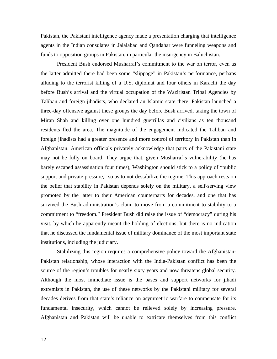Pakistan, the Pakistani intelligence agency made a presentation charging that intelligence agents in the Indian consulates in Jalalabad and Qandahar were funneling weapons and funds to opposition groups in Pakistan, in particular the insurgency in Baluchistan.

President Bush endorsed Musharraf's commitment to the war on terror, even as the latter admitted there had been some "slippage" in Pakistan's performance, perhaps alluding to the terrorist killing of a U.S. diplomat and four others in Karachi the day before Bush's arrival and the virtual occupation of the Waziristan Tribal Agencies by Taliban and foreign jihadists, who declared an Islamic state there. Pakistan launched a three-day offensive against these groups the day before Bush arrived, taking the town of Miran Shah and killing over one hundred guerrillas and civilians as ten thousand residents fled the area. The magnitude of the engagement indicated the Taliban and foreign jihadists had a greater presence and more control of territory in Pakistan than in Afghanistan. American officials privately acknowledge that parts of the Pakistani state may not be fully on board. They argue that, given Musharraf's vulnerability (he has barely escaped assassination four times), Washington should stick to a policy of "public support and private pressure," so as to not destabilize the regime. This approach rests on the belief that stability in Pakistan depends solely on the military, a self-serving view promoted by the latter to their American counterparts for decades, and one that has survived the Bush administration's claim to move from a commitment to stability to a commitment to "freedom." President Bush did raise the issue of "democracy" during his visit, by which he apparently meant the holding of elections, but there is no indication that he discussed the fundamental issue of military dominance of the most important state institutions, including the judiciary.

Stabilizing this region requires a comprehensive policy toward the Afghanistan-Pakistan relationship, whose interaction with the India-Pakistan conflict has been the source of the region's troubles for nearly sixty years and now threatens global security. Although the most immediate issue is the bases and support networks for jihadi extremists in Pakistan, the use of these networks by the Pakistani military for several decades derives from that state's reliance on asymmetric warfare to compensate for its fundamental insecurity, which cannot be relieved solely by increasing pressure. Afghanistan and Pakistan will be unable to extricate themselves from this conflict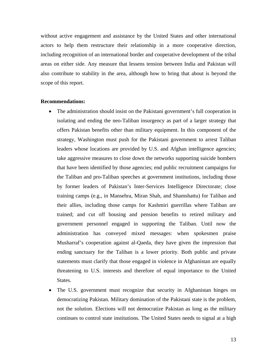without active engagement and assistance by the United States and other international actors to help them restructure their relationship in a more cooperative direction, including recognition of an international border and cooperative development of the tribal areas on either side. Any measure that lessens tension between India and Pakistan will also contribute to stability in the area, although how to bring that about is beyond the scope of this report.

#### **Recommendations:**

- The administration should insist on the Pakistani government's full cooperation in isolating and ending the neo-Taliban insurgency as part of a larger strategy that offers Pakistan benefits other than military equipment. In this component of the strategy, Washington must push for the Pakistani government to arrest Taliban leaders whose locations are provided by U.S. and Afghan intelligence agencies; take aggressive measures to close down the networks supporting suicide bombers that have been identified by those agencies; end public recruitment campaigns for the Taliban and pro-Taliban speeches at government institutions, including those by former leaders of Pakistan's Inter-Services Intelligence Directorate; close training camps (e.g., in Mansehra, Miran Shah, and Shamshattu) for Taliban and their allies, including those camps for Kashmiri guerrillas where Taliban are trained; and cut off housing and pension benefits to retired military and government personnel engaged in supporting the Taliban. Until now the administration has conveyed mixed messages: when spokesmen praise Musharraf's cooperation against al-Qaeda, they have given the impression that ending sanctuary for the Taliban is a lower priority. Both public and private statements must clarify that those engaged in violence in Afghanistan are equally threatening to U.S. interests and therefore of equal importance to the United States.
- The U.S. government must recognize that security in Afghanistan hinges on democratizing Pakistan. Military domination of the Pakistani state is the problem, not the solution. Elections will not democratize Pakistan as long as the military continues to control state institutions. The United States needs to signal at a high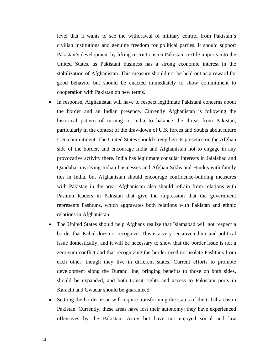level that it wants to see the withdrawal of military control from Pakistan's civilian institutions and genuine freedom for political parties. It should support Pakistan's development by lifting restrictions on Pakistani textile imports into the United States, as Pakistani business has a strong economic interest in the stabilization of Afghanistan. This measure should not be held out as a reward for good behavior but should be enacted immediately to show commitment to cooperation with Pakistan on new terms.

- In response, Afghanistan will have to respect legitimate Pakistani concerns about the border and an Indian presence. Currently Afghanistan is following the historical pattern of turning to India to balance the threat from Pakistan, particularly in the context of the drawdown of U.S. forces and doubts about future U.S. commitment. The United States should strengthen its presence on the Afghan side of the border, and encourage India and Afghanistan not to engage in any provocative activity there. India has legitimate consular interests in Jalalabad and Qandahar involving Indian businesses and Afghan Sikhs and Hindus with family ties in India, but Afghanistan should encourage confidence-building measures with Pakistan in the area. Afghanistan also should refrain from relations with Pashtun leaders in Pakistan that give the impression that the government represents Pashtuns, which aggravates both relations with Pakistan and ethnic relations in Afghanistan.
- The United States should help Afghans realize that Islamabad will not respect a border that Kabul does not recognize. This is a very sensitive ethnic and political issue domestically, and it will be necessary to show that the border issue is not a zero-sum conflict and that recognizing the border need not isolate Pashtuns from each other, though they live in different states. Current efforts to promote development along the Durand line, bringing benefits to those on both sides, should be expanded, and both transit rights and access to Pakistani ports in Karachi and Gwadar should be guaranteed.
- Settling the border issue will require transforming the status of the tribal areas in Pakistan. Currently, these areas have lost their autonomy: they have experienced offensives by the Pakistani Army but have not enjoyed social and law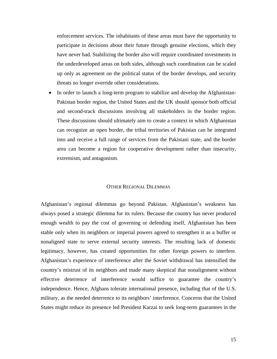enforcement services. The inhabitants of these areas must have the opportunity to participate in decisions about their future through genuine elections, which they have never had. Stabilizing the border also will require coordinated investments in the underdeveloped areas on both sides, although such coordination can be scaled up only as agreement on the political status of the border develops, and security threats no longer override other considerations.

• In order to launch a long-term program to stabilize and develop the Afghanistan-Pakistan border region, the United States and the UK should sponsor both official and second-track discussions involving all stakeholders in the border region. These discussions should ultimately aim to create a context in which Afghanistan can recognize an open border, the tribal territories of Pakistan can be integrated into and receive a full range of services from the Pakistani state, and the border area can become a region for cooperative development rather than insecurity, extremism, and antagonism.

# OTHER REGIONAL DILEMMAS

Afghanistan's regional dilemmas go beyond Pakistan. Afghanistan's weakness has always posed a strategic dilemma for its rulers. Because the country has never produced enough wealth to pay the cost of governing or defending itself, Afghanistan has been stable only when its neighbors or imperial powers agreed to strengthen it as a buffer or nonaligned state to serve external security interests. The resulting lack of domestic legitimacy, however, has created opportunities for other foreign powers to interfere. Afghanistan's experience of interference after the Soviet withdrawal has intensified the country's mistrust of its neighbors and made many skeptical that nonalignment without effective deterrence of interference would suffice to guarantee the country's independence. Hence, Afghans tolerate international presence, including that of the U.S. military, as the needed deterrence to its neighbors' interference. Concerns that the United States might reduce its presence led President Karzai to seek long-term guarantees in the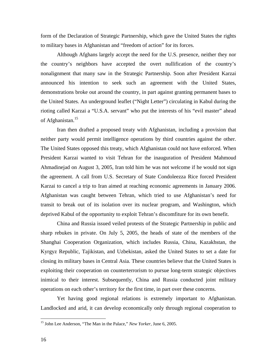form of the Declaration of Strategic Partnership, which gave the United States the rights to military bases in Afghanistan and "freedom of action" for its forces.

Although Afghans largely accept the need for the U.S. presence, neither they nor the country's neighbors have accepted the overt nullification of the country's nonalignment that many saw in the Strategic Partnership. Soon after President Karzai announced his intention to seek such an agreement with the United States, demonstrations broke out around the country, in part against granting permanent bases to the United States. An underground leaflet ("Night Letter") circulating in Kabul during the rioting called Karzai a "U.S.A. servant" who put the interests of his "evil master" ahead of Afghanistan.<sup>15</sup>

Iran then drafted a proposed treaty with Afghanistan, including a provision that neither party would permit intelligence operations by third countries against the other. The United States opposed this treaty, which Afghanistan could not have enforced. When President Karzai wanted to visit Tehran for the inauguration of President Mahmoud Ahmadinejad on August 3, 2005, Iran told him he was not welcome if he would not sign the agreement. A call from U.S. Secretary of State Condoleezza Rice forced President Karzai to cancel a trip to Iran aimed at reaching economic agreements in January 2006. Afghanistan was caught between Tehran, which tried to use Afghanistan's need for transit to break out of its isolation over its nuclear program, and Washington, which deprived Kabul of the opportunity to exploit Tehran's discomfiture for its own benefit.

China and Russia issued veiled protests of the Strategic Partnership in public and sharp rebukes in private. On July 5, 2005, the heads of state of the members of the Shanghai Cooperation Organization, which includes Russia, China, Kazakhstan, the Kyrgyz Republic, Tajikistan, and Uzbekistan, asked the United States to set a date for closing its military bases in Central Asia. These countries believe that the United States is exploiting their cooperation on counterterrorism to pursue long-term strategic objectives inimical to their interest. Subsequently, China and Russia conducted joint military operations on each other's territory for the first time, in part over these concerns.

Yet having good regional relations is extremely important to Afghanistan. Landlocked and arid, it can develop economically only through regional cooperation to

<u>.</u>

<span id="page-27-0"></span><sup>15</sup> John Lee Anderson, "The Man in the Palace," *New Yorker*, June 6, 2005.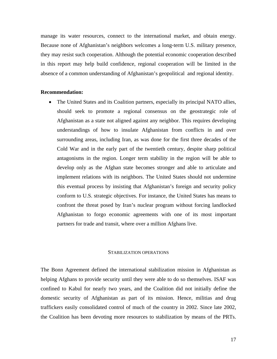manage its water resources, connect to the international market, and obtain energy. Because none of Afghanistan's neighbors welcomes a long-term U.S. military presence, they may resist such cooperation. Although the potential economic cooperation described in this report may help build confidence, regional cooperation will be limited in the absence of a common understanding of Afghanistan's geopolitical and regional identity.

#### **Recommendation:**

The United States and its Coalition partners, especially its principal NATO allies, should seek to promote a regional consensus on the geostrategic role of Afghanistan as a state not aligned against any neighbor. This requires developing understandings of how to insulate Afghanistan from conflicts in and over surrounding areas, including Iran, as was done for the first three decades of the Cold War and in the early part of the twentieth century, despite sharp political antagonisms in the region. Longer term stability in the region will be able to develop only as the Afghan state becomes stronger and able to articulate and implement relations with its neighbors. The United States should not undermine this eventual process by insisting that Afghanistan's foreign and security policy conform to U.S. strategic objectives. For instance, the United States has means to confront the threat posed by Iran's nuclear program without forcing landlocked Afghanistan to forgo economic agreements with one of its most important partners for trade and transit, where over a million Afghans live.

#### STABILIZATION OPERATIONS

The Bonn Agreement defined the international stabilization mission in Afghanistan as helping Afghans to provide security until they were able to do so themselves. ISAF was confined to Kabul for nearly two years, and the Coalition did not initially define the domestic security of Afghanistan as part of its mission. Hence, militias and drug traffickers easily consolidated control of much of the country in 2002. Since late 2002, the Coalition has been devoting more resources to stabilization by means of the PRTs.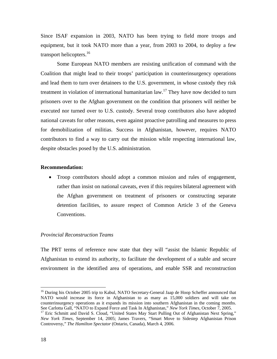Since ISAF expansion in 2003, NATO has been trying to field more troops and equipment, but it took NATO more than a year, from 2003 to 2004, to deploy a few transport helicopters.<sup>16</sup>

Some European NATO members are resisting unification of command with the Coalition that might lead to their troops' participation in counterinsurgency operations and lead them to turn over detainees to the U.S. government, in whose custody they risk treatment in violation of international humanitarian law.<sup>17</sup> They have now decided to turn prisoners over to the Afghan government on the condition that prisoners will neither be executed nor turned over to U.S. custody. Several troop contributors also have adopted national caveats for other reasons, even against proactive patrolling and measures to press for demobilization of militias. Success in Afghanistan, however, requires NATO contributors to find a way to carry out the mission while respecting international law, despite obstacles posed by the U.S. administration.

#### **Recommendation:**

• Troop contributors should adopt a common mission and rules of engagement, rather than insist on national caveats, even if this requires bilateral agreement with the Afghan government on treatment of prisoners or constructing separate detention facilities, to assure respect of Common Article 3 of the Geneva Conventions.

## *Provincial Reconstruction Teams*

The PRT terms of reference now state that they will "assist the Islamic Republic of Afghanistan to extend its authority, to facilitate the development of a stable and secure environment in the identified area of operations, and enable SSR and reconstruction

<u>.</u>

<span id="page-29-0"></span><sup>&</sup>lt;sup>16</sup> During his October 2005 trip to Kabul, NATO Secretary-General Jaap de Hoop Scheffer announced that NATO would increase its force in Afghanistan to as many as 15,000 soldiers and will take on counterinsurgency operations as it expands its mission into southern Afghanistan in the coming months. See Carlotta Gall, "NATO to Expand Force and Task In Afghanistan," *New York Times*, October 7, 2005.<br><sup>17</sup> Eric Schmitt and David S. Cloud, "United States May Start Pulling Out of Afghanistan Next Spring,"

<span id="page-29-1"></span>*New York Times*, September 14, 2005; James Travers, "Smart Move to Sidestep Afghanistan Prison Controversy," *The Hamilton Spectator* (Ontario, Canada), March 4, 2006.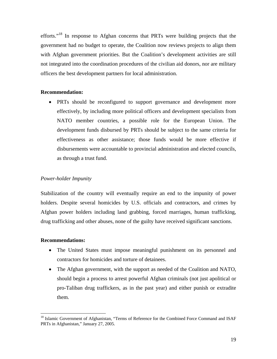efforts."[18](#page-30-0) In response to Afghan concerns that PRTs were building projects that the government had no budget to operate, the Coalition now reviews projects to align them with Afghan government priorities. But the Coalition's development activities are still not integrated into the coordination procedures of the civilian aid donors, nor are military officers the best development partners for local administration.

# **Recommendation:**

• PRTs should be reconfigured to support governance and development more effectively, by including more political officers and development specialists from NATO member countries, a possible role for the European Union. The development funds disbursed by PRTs should be subject to the same criteria for effectiveness as other assistance; those funds would be more effective if disbursements were accountable to provincial administration and elected councils, as through a trust fund.

# *Power-holder Impunity*

Stabilization of the country will eventually require an end to the impunity of power holders. Despite several homicides by U.S. officials and contractors, and crimes by Afghan power holders including land grabbing, forced marriages, human trafficking, drug trafficking and other abuses, none of the guilty have received significant sanctions.

# **Recommendations:**

1

- The United States must impose meaningful punishment on its personnel and contractors for homicides and torture of detainees.
- The Afghan government, with the support as needed of the Coalition and NATO, should begin a process to arrest powerful Afghan criminals (not just apolitical or pro-Taliban drug traffickers, as in the past year) and either punish or extradite them.

<span id="page-30-0"></span><sup>&</sup>lt;sup>18</sup> Islamic Government of Afghanistan, "Terms of Reference for the Combined Force Command and ISAF PRTs in Afghanistan," January 27, 2005.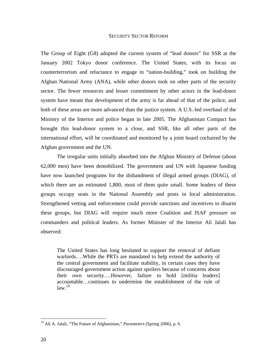# SECURITY SECTOR REFORM

The Group of Eight (G8) adopted the current system of "lead donors" for SSR at the January 2002 Tokyo donor conference. The United States, with its focus on counterterrorism and reluctance to engage in "nation-building," took on building the Afghan National Army (ANA), while other donors took on other parts of the security sector. The fewer resources and lesser commitment by other actors in the lead-donor system have meant that development of the army is far ahead of that of the police, and both of these areas are more advanced than the justice system. A U.S.-led overhaul of the Ministry of the Interior and police began in late 2005. The Afghanistan Compact has brought this lead-donor system to a close, and SSR, like all other parts of the international effort, will be coordinated and monitored by a joint board cochaired by the Afghan government and the UN.

The irregular units initially absorbed into the Afghan Ministry of Defense (about 62,000 men) have been demobilized. The government and UN with Japanese funding have now launched programs for the disbandment of illegal armed groups (DIAG), of which there are an estimated 1,800, most of them quite small. Some leaders of these groups occupy seats in the National Assembly and posts in local administration. Strengthened vetting and enforcement could provide sanctions and incentives to disarm these groups, but DIAG will require much more Coalition and ISAF pressure on commanders and political leaders. As former Minister of the Interior Ali Jalali has observed:

The United States has long hesitated to support the removal of defiant warlords….While the PRTs are mandated to help extend the authority of the central government and facilitate stability, in certain cases they have discouraged government action against spoilers because of concerns about their own security….However, failure to hold [militia leaders] accountable…continues to undermine the establishment of the rule of  $law<sup>19</sup>$  $law<sup>19</sup>$  $law<sup>19</sup>$ 

 $\overline{a}$ 

<span id="page-31-0"></span><sup>19</sup> Ali A. Jalali, "The Future of Afghanistan," *Parameters* (Spring 2006), p. 6.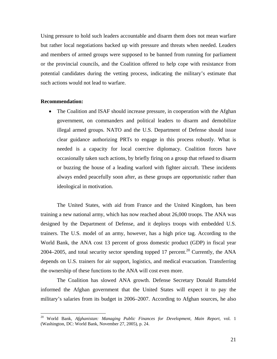Using pressure to hold such leaders accountable and disarm them does not mean warfare but rather local negotiations backed up with pressure and threats when needed. Leaders and members of armed groups were supposed to be banned from running for parliament or the provincial councils, and the Coalition offered to help cope with resistance from potential candidates during the vetting process, indicating the military's estimate that such actions would not lead to warfare.

#### **Recommendation:**

1

• The Coalition and ISAF should increase pressure, in cooperation with the Afghan government, on commanders and political leaders to disarm and demobilize illegal armed groups. NATO and the U.S. Department of Defense should issue clear guidance authorizing PRTs to engage in this process robustly. What is needed is a capacity for local coercive diplomacy. Coalition forces have occasionally taken such actions, by briefly firing on a group that refused to disarm or buzzing the house of a leading warlord with fighter aircraft. These incidents always ended peacefully soon after, as these groups are opportunistic rather than ideological in motivation.

The United States, with aid from France and the United Kingdom, has been training a new national army, which has now reached about 26,000 troops. The ANA was designed by the Department of Defense, and it deploys troops with embedded U.S. trainers. The U.S. model of an army, however, has a high price tag. According to the World Bank, the ANA cost 13 percent of gross domestic product (GDP) in fiscal year 2004–2005, and total security sector spending topped 17 percent.<sup>20</sup> Currently, the ANA depends on U.S. trainers for air support, logistics, and medical evacuation. Transferring the ownership of these functions to the ANA will cost even more.

The Coalition has slowed ANA growth. Defense Secretary Donald Rumsfeld informed the Afghan government that the United States will expect it to pay the military's salaries from its budget in 2006–2007. According to Afghan sources, he also

<span id="page-32-0"></span><sup>20</sup> World Bank, *Afghanistan: Managing Public Finances for Development, Main Report*, vol. 1 (Washington, DC: World Bank, November 27, 2005), p. 24.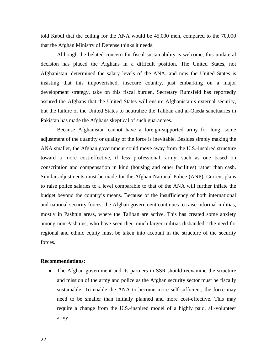told Kabul that the ceiling for the ANA would be 45,000 men, compared to the 70,000 that the Afghan Ministry of Defense thinks it needs.

Although the belated concern for fiscal sustainability is welcome, this unilateral decision has placed the Afghans in a difficult position. The United States, not Afghanistan, determined the salary levels of the ANA, and now the United States is insisting that this impoverished, insecure country, just embarking on a major development strategy, take on this fiscal burden. Secretary Rumsfeld has reportedly assured the Afghans that the United States will ensure Afghanistan's external security, but the failure of the United States to neutralize the Taliban and al-Qaeda sanctuaries in Pakistan has made the Afghans skeptical of such guarantees.

Because Afghanistan cannot have a foreign-supported army for long, some adjustment of the quantity or quality of the force is inevitable. Besides simply making the ANA smaller, the Afghan government could move away from the U.S.-inspired structure toward a more cost-effective, if less professional, army, such as one based on conscription and compensation in kind (housing and other facilities) rather than cash. Similar adjustments must be made for the Afghan National Police (ANP). Current plans to raise police salaries to a level comparable to that of the ANA will further inflate the budget beyond the country's means. Because of the insufficiency of both international and national security forces, the Afghan government continues to raise informal militias, mostly in Pashtun areas, where the Taliban are active. This has created some anxiety among non-Pashtuns, who have seen their much larger militias disbanded. The need for regional and ethnic equity must be taken into account in the structure of the security forces.

#### **Recommendations:**

• The Afghan government and its partners in SSR should reexamine the structure and mission of the army and police as the Afghan security sector must be fiscally sustainable. To enable the ANA to become more self-sufficient, the force may need to be smaller than initially planned and more cost-effective. This may require a change from the U.S.-inspired model of a highly paid, all-volunteer army.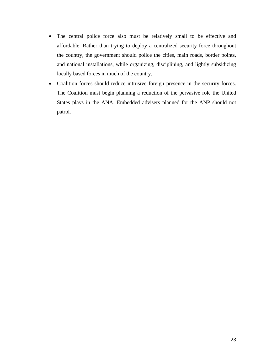- The central police force also must be relatively small to be effective and affordable. Rather than trying to deploy a centralized security force throughout the country, the government should police the cities, main roads, border points, and national installations, while organizing, disciplining, and lightly subsidizing locally based forces in much of the country.
- Coalition forces should reduce intrusive foreign presence in the security forces. The Coalition must begin planning a reduction of the pervasive role the United States plays in the ANA. Embedded advisers planned for the ANP should not patrol.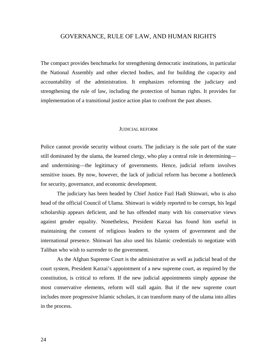# GOVERNANCE, RULE OF LAW, AND HUMAN RIGHTS

The compact provides benchmarks for strengthening democratic institutions, in particular the National Assembly and other elected bodies, and for building the capacity and accountability of the administration. It emphasizes reforming the judiciary and strengthening the rule of law, including the protection of human rights. It provides for implementation of a transitional justice action plan to confront the past abuses.

#### JUDICIAL REFORM

Police cannot provide security without courts. The judiciary is the sole part of the state still dominated by the ulama, the learned clergy, who play a central role in determining and undermining—the legitimacy of governments. Hence, judicial reform involves sensitive issues. By now, however, the lack of judicial reform has become a bottleneck for security, governance, and economic development.

The judiciary has been headed by Chief Justice Fazl Hadi Shinwari, who is also head of the official Council of Ulama. Shinwari is widely reported to be corrupt, his legal scholarship appears deficient, and he has offended many with his conservative views against gender equality. Nonetheless, President Karzai has found him useful in maintaining the consent of religious leaders to the system of government and the international presence. Shinwari has also used his Islamic credentials to negotiate with Taliban who wish to surrender to the government.

As the Afghan Supreme Court is the administrative as well as judicial head of the court system, President Karzai's appointment of a new supreme court, as required by the constitution, is critical to reform. If the new judicial appointments simply appease the most conservative elements, reform will stall again. But if the new supreme court includes more progressive Islamic scholars, it can transform many of the ulama into allies in the process.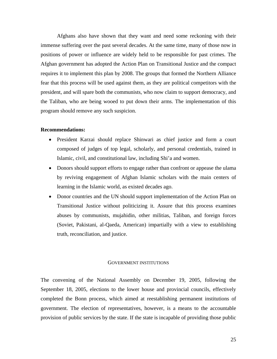Afghans also have shown that they want and need some reckoning with their immense suffering over the past several decades. At the same time, many of those now in positions of power or influence are widely held to be responsible for past crimes. The Afghan government has adopted the Action Plan on Transitional Justice and the compact requires it to implement this plan by 2008. The groups that formed the Northern Alliance fear that this process will be used against them, as they are political competitors with the president, and will spare both the communists, who now claim to support democracy, and the Taliban, who are being wooed to put down their arms. The implementation of this program should remove any such suspicion.

# **Recommendations:**

- President Karzai should replace Shinwari as chief justice and form a court composed of judges of top legal, scholarly, and personal credentials, trained in Islamic, civil, and constitutional law, including Shi'a and women.
- Donors should support efforts to engage rather than confront or appease the ulama by reviving engagement of Afghan Islamic scholars with the main centers of learning in the Islamic world, as existed decades ago.
- Donor countries and the UN should support implementation of the Action Plan on Transitional Justice without politicizing it. Assure that this process examines abuses by communists, mujahidin, other militias, Taliban, and foreign forces (Soviet, Pakistani, al-Qaeda, American) impartially with a view to establishing truth, reconciliation, and justice.

## GOVERNMENT INSTITUTIONS

The convening of the National Assembly on December 19, 2005, following the September 18, 2005, elections to the lower house and provincial councils, effectively completed the Bonn process, which aimed at reestablishing permanent institutions of government. The election of representatives, however, is a means to the accountable provision of public services by the state. If the state is incapable of providing those public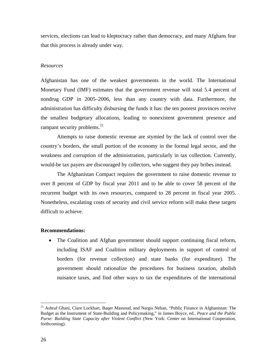services, elections can lead to kleptocracy rather than democracy, and many Afghans fear that this process is already under way.

#### *Resources*

Afghanistan has one of the weakest governments in the world. The International Monetary Fund (IMF) estimates that the government revenue will total 5.4 percent of nondrug GDP in 2005–2006, less than any country with data. Furthermore, the administration has difficulty disbursing the funds it has: the ten poorest provinces receive the smallest budgetary allocations, leading to nonexistent government presence and rampant security problems.<sup>21</sup>

Attempts to raise domestic revenue are stymied by the lack of control over the country's borders, the small portion of the economy in the formal legal sector, and the weakness and corruption of the administration, particularly in tax collection. Currently, would-be tax payers are discouraged by collectors, who suggest they pay bribes instead.

The Afghanistan Compact requires the government to raise domestic revenue to over 8 percent of GDP by fiscal year 2011 and to be able to cover 58 percent of the recurrent budget with its own resources, compared to 28 percent in fiscal year 2005. Nonetheless, escalating costs of security and civil service reform will make these targets difficult to achieve.

#### **Recommendations:**

• The Coalition and Afghan government should support continuing fiscal reform, including ISAF and Coalition military deployments in support of control of borders (for revenue collection) and state banks (for expenditure). The government should rationalize the procedures for business taxation, abolish nuisance taxes, and find other ways to tax the expenditures of the international

 $\overline{a}$ 

<span id="page-37-0"></span><sup>&</sup>lt;sup>21</sup> Ashraf Ghani, Clare Lockhart, Baqer Massoud, and Nargis Nehan, "Public Finance in Afghanistan: The Budget as the Instrument of State-Building and Policymaking," in James Boyce, ed., *Peace and the Public Purse: Building State Capacity after Violent Conflict* (New York: Center on International Cooperation, forthcoming).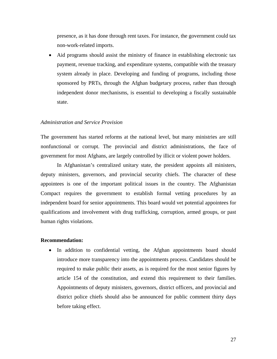presence, as it has done through rent taxes. For instance, the government could tax non-work-related imports.

• Aid programs should assist the ministry of finance in establishing electronic tax payment, revenue tracking, and expenditure systems, compatible with the treasury system already in place. Developing and funding of programs, including those sponsored by PRTs, through the Afghan budgetary process, rather than through independent donor mechanisms, is essential to developing a fiscally sustainable state.

# *Administration and Service Provision*

The government has started reforms at the national level, but many ministries are still nonfunctional or corrupt. The provincial and district administrations, the face of government for most Afghans, are largely controlled by illicit or violent power holders.

In Afghanistan's centralized unitary state, the president appoints all ministers, deputy ministers, governors, and provincial security chiefs. The character of these appointees is one of the important political issues in the country. The Afghanistan Compact requires the government to establish formal vetting procedures by an independent board for senior appointments. This board would vet potential appointees for qualifications and involvement with drug trafficking, corruption, armed groups, or past human rights violations.

# **Recommendation:**

• In addition to confidential vetting, the Afghan appointments board should introduce more transparency into the appointments process. Candidates should be required to make public their assets, as is required for the most senior figures by article 154 of the constitution, and extend this requirement to their families. Appointments of deputy ministers, governors, district officers, and provincial and district police chiefs should also be announced for public comment thirty days before taking effect.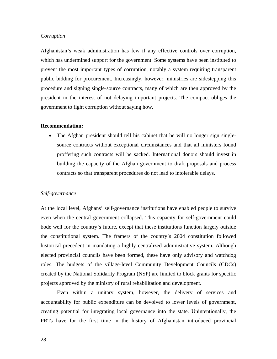# *Corruption*

Afghanistan's weak administration has few if any effective controls over corruption, which has undermined support for the government. Some systems have been instituted to prevent the most important types of corruption, notably a system requiring transparent public bidding for procurement. Increasingly, however, ministries are sidestepping this procedure and signing single-source contracts, many of which are then approved by the president in the interest of not delaying important projects. The compact obliges the government to fight corruption without saying how.

# **Recommendation:**

• The Afghan president should tell his cabinet that he will no longer sign singlesource contracts without exceptional circumstances and that all ministers found proffering such contracts will be sacked. International donors should invest in building the capacity of the Afghan government to draft proposals and process contracts so that transparent procedures do not lead to intolerable delays.

#### *Self-governance*

At the local level, Afghans' self-governance institutions have enabled people to survive even when the central government collapsed. This capacity for self-government could bode well for the country's future, except that these institutions function largely outside the constitutional system. The framers of the country's 2004 constitution followed historical precedent in mandating a highly centralized administrative system. Although elected provincial councils have been formed, these have only advisory and watchdog roles. The budgets of the village-level Community Development Councils (CDCs) created by the National Solidarity Program (NSP) are limited to block grants for specific projects approved by the ministry of rural rehabilitation and development.

Even within a unitary system, however, the delivery of services and accountability for public expenditure can be devolved to lower levels of government, creating potential for integrating local governance into the state. Unintentionally, the PRTs have for the first time in the history of Afghanistan introduced provincial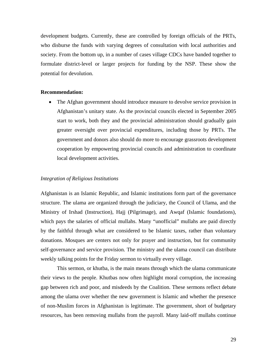development budgets. Currently, these are controlled by foreign officials of the PRTs, who disburse the funds with varying degrees of consultation with local authorities and society. From the bottom up, in a number of cases village CDCs have banded together to formulate district-level or larger projects for funding by the NSP. These show the potential for devolution.

#### **Recommendation:**

The Afghan government should introduce measure to devolve service provision in Afghanistan's unitary state. As the provincial councils elected in September 2005 start to work, both they and the provincial administration should gradually gain greater oversight over provincial expenditures, including those by PRTs. The government and donors also should do more to encourage grassroots development cooperation by empowering provincial councils and administration to coordinate local development activities.

#### *Integration of Religious Institutions*

Afghanistan is an Islamic Republic, and Islamic institutions form part of the governance structure. The ulama are organized through the judiciary, the Council of Ulama, and the Ministry of Irshad (Instruction), Hajj (Pilgrimage), and Awqaf (Islamic foundations), which pays the salaries of official mullahs. Many "unofficial" mullahs are paid directly by the faithful through what are considered to be Islamic taxes, rather than voluntary donations. Mosques are centers not only for prayer and instruction, but for community self-governance and service provision. The ministry and the ulama council can distribute weekly talking points for the Friday sermon to virtually every village.

This sermon, or khutba, is the main means through which the ulama communicate their views to the people. Khutbas now often highlight moral corruption, the increasing gap between rich and poor, and misdeeds by the Coalition. These sermons reflect debate among the ulama over whether the new government is Islamic and whether the presence of non-Muslim forces in Afghanistan is legitimate. The government, short of budgetary resources, has been removing mullahs from the payroll. Many laid-off mullahs continue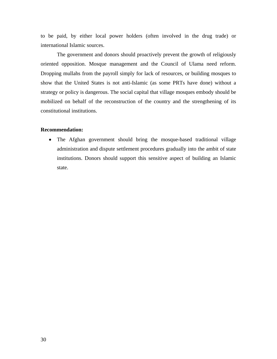to be paid, by either local power holders (often involved in the drug trade) or international Islamic sources.

The government and donors should proactively prevent the growth of religiously oriented opposition. Mosque management and the Council of Ulama need reform. Dropping mullahs from the payroll simply for lack of resources, or building mosques to show that the United States is not anti-Islamic (as some PRTs have done) without a strategy or policy is dangerous. The social capital that village mosques embody should be mobilized on behalf of the reconstruction of the country and the strengthening of its constitutional institutions.

# **Recommendation:**

• The Afghan government should bring the mosque-based traditional village administration and dispute settlement procedures gradually into the ambit of state institutions. Donors should support this sensitive aspect of building an Islamic state.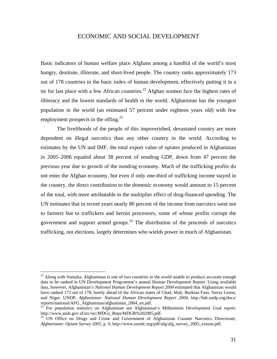# ECONOMIC AND SOCIAL DEVELOPMENT

Basic indicators of human welfare place Afghans among a handful of the world's most hungry, destitute, illiterate, and short-lived people. The country ranks approximately 173 out of 178 countries in the basic index of human development, effectively putting it in a tie for last place with a few African countries.<sup>22</sup> Afghan women face the highest rates of illiteracy and the lowest standards of health in the world. Afghanistan has the youngest population in the world (an estimated 57 percent under eighteen years old) with few employment prospects in the offing. $^{23}$  $^{23}$  $^{23}$ 

The livelihoods of the people of this impoverished, devastated country are more dependent on illegal narcotics than any other country in the world. According to estimates by the UN and IMF, the total export value of opiates produced in Afghanistan in 2005–2006 equaled about 38 percent of nondrug GDP, down from 47 percent the previous year due to growth of the nondrug economy. Much of the trafficking profits do not enter the Afghan economy, but even if only one-third of trafficking income stayed in the country, the direct contribution to the domestic economy would amount to 15 percent of the total, with more attributable to the multiplier effect of drug-financed spending. The UN estimates that in recent years nearly 80 percent of the income from narcotics went not to farmers but to traffickers and heroin processors, some of whose profits corrupt the government and support armed groups. $^{24}$  The distribution of the proceeds of narcotics trafficking, not elections, largely determines who wields power in much of Afghanistan.

1

<span id="page-42-0"></span> $22$  Along with Somalia, Afghanistan is one of two countries in the world unable to produce accurate enough data to be ranked in UN Development Programme's annual Human Development Report. Using available data, however, Afghanistan's *National Human Development Report 2004* estimated that Afghanistan would have ranked 173 out of 178, barely ahead of the African states of Chad, Mali, Burkina Faso, Sierra Leone, and Niger. UNDP, *Afghanistan: National Human Development Report 2004*, http://hdr.undp.org/docs/

<span id="page-42-1"></span><sup>&</sup>lt;sup>23</sup> For population statistics on Afghanistan see Afghanistan's Millennium Development Goal report:<br>http://www.ands.gov.af/src/src/MDGs Reps/MDGR%202005.pdf.

<span id="page-42-2"></span><sup>&</sup>lt;sup>24</sup> UN Office on Drugs and Crime and Government of Afghanistan Counter Narcotics Directorate, *Afghanistan: Opium Survey 2005*, p. 9, http://www.unodc.org/pdf/afg/afg\_survey\_2005\_exsum.pdf.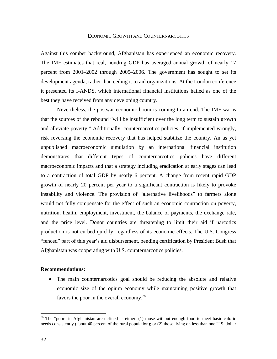### ECONOMIC GROWTH AND COUNTERNARCOTICS

Against this somber background, Afghanistan has experienced an economic recovery. The IMF estimates that real, nondrug GDP has averaged annual growth of nearly 17 percent from 2001–2002 through 2005–2006. The government has sought to set its development agenda, rather than ceding it to aid organizations. At the London conference it presented its I-ANDS, which international financial institutions hailed as one of the best they have received from any developing country.

Nevertheless, the postwar economic boom is coming to an end. The IMF warns that the sources of the rebound "will be insufficient over the long term to sustain growth and alleviate poverty." Additionally, counternarcotics policies, if implemented wrongly, risk reversing the economic recovery that has helped stabilize the country. An as yet unpublished macroeconomic simulation by an international financial institution demonstrates that different types of counternarcotics policies have different macroeconomic impacts and that a strategy including eradication at early stages can lead to a contraction of total GDP by nearly 6 percent. A change from recent rapid GDP growth of nearly 20 percent per year to a significant contraction is likely to provoke instability and violence. The provision of "alternative livelihoods" to farmers alone would not fully compensate for the effect of such an economic contraction on poverty, nutrition, health, employment, investment, the balance of payments, the exchange rate, and the price level. Donor countries are threatening to limit their aid if narcotics production is not curbed quickly, regardless of its economic effects. The U.S. Congress "fenced" part of this year's aid disbursement, pending certification by President Bush that Afghanistan was cooperating with U.S. counternarcotics policies.

# **Recommendations:**

• The main counternarcotics goal should be reducing the absolute and relative economic size of the opium economy while maintaining positive growth that favors the poor in the overall economy.<sup>25</sup>

1

<span id="page-43-0"></span><sup>&</sup>lt;sup>25</sup> The "poor" in Afghanistan are defined as either: (1) those without enough food to meet basic caloric needs consistently (about 40 percent of the rural population); or (2) those living on less than one U.S. dollar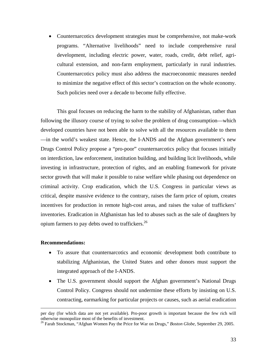• Counternarcotics development strategies must be comprehensive, not make-work programs. "Alternative livelihoods" need to include comprehensive rural development, including electric power, water, roads, credit, debt relief, agricultural extension, and non-farm employment, particularly in rural industries. Counternarcotics policy must also address the macroeconomic measures needed to minimize the negative effect of this sector's contraction on the whole economy. Such policies need over a decade to become fully effective.

This goal focuses on reducing the harm to the stability of Afghanistan, rather than following the illusory course of trying to solve the problem of drug consumption—which developed countries have not been able to solve with all the resources available to them —in the world's weakest state. Hence, the I-ANDS and the Afghan government's new Drugs Control Policy propose a "pro-poor" counternarcotics policy that focuses initially on interdiction, law enforcement, institution building, and building licit livelihoods, while investing in infrastructure, protection of rights, and an enabling framework for private sector growth that will make it possible to raise welfare while phasing out dependence on criminal activity. Crop eradication, which the U.S. Congress in particular views as critical, despite massive evidence to the contrary, raises the farm price of opium, creates incentives for production in remote high-cost areas, and raises the value of traffickers' inventories. Eradication in Afghanistan has led to abuses such as the sale of daughters by opium farmers to pay debts owed to traffickers[.26](#page-44-0) 

# **Recommendations:**

- To assure that counternarcotics and economic development both contribute to stabilizing Afghanistan, the United States and other donors must support the integrated approach of the I-ANDS.
- The U.S. government should support the Afghan government's National Drugs Control Policy. Congress should not undermine these efforts by insisting on U.S. contracting, earmarking for particular projects or causes, such as aerial eradication

per day (for which data are not yet available). Pro-poor growth is important because the few rich will otherwise monopolize most of the benefits of investment. 26 Farah Stockman, "Afghan Women Pay the Price for War on Drugs," *Boston Globe*, September 29, 2005.

<span id="page-44-0"></span>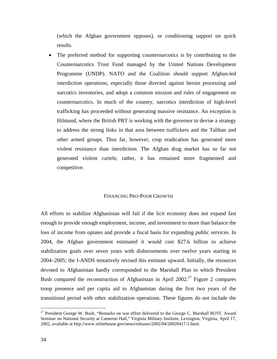(which the Afghan government opposes), or conditioning support on quick results.

• The preferred method for supporting counternarcotics is by contributing to the Counternarcotics Trust Fund managed by the United Nations Development Programme (UNDP). NATO and the Coalition should support Afghan-led interdiction operations, especially those directed against heroin processing and narcotics inventories, and adopt a common mission and rules of engagement on counternarcotics. In much of the country, narcotics interdiction of high-level trafficking has proceeded without generating massive resistance. An exception is Hilmand, where the British PRT is working with the governor to devise a strategy to address the strong links in that area between traffickers and the Taliban and other armed groups. Thus far, however, crop eradication has generated more violent resistance than interdiction. The Afghan drug market has so far not generated violent cartels; rather, it has remained more fragmented and competitive.

# FINANCING PRO-POOR GROWTH

All efforts to stabilize Afghanistan will fail if the licit economy does not expand fast enough to provide enough employment, income, and investment to more than balance the loss of income from opiates and provide a fiscal basis for expanding public services. In 2004, the Afghan government estimated it would cost \$27.6 billion to achieve stabilization goals over seven years with disbursements over twelve years starting in 2004–2005; the I-ANDS tentatively revised this estimate upward. Initially, the resources devoted to Afghanistan hardly corresponded to the Marshall Plan to which President Bush compared the reconstruction of Afghanistan in April  $2002<sup>27</sup>$  Figure 2 compares troop presence and per capita aid to Afghanistan during the first two years of the transitional period with other stabilization operations. These figures do not include the

1

<span id="page-45-0"></span><sup>&</sup>lt;sup>27</sup> President George W. Bush, "Remarks on war effort delivered to the George C. Marshall ROTC Award Seminar on National Security at Cameron Hall," Virginia Military Institute, Lexington, Virginia, April 17, 2002, available at [http://www.whitehouse.gov/news/releases/2002/04/20020417-1.html.](http://www.whitehouse.gov/news/releases/2002/04/20020417-1.html)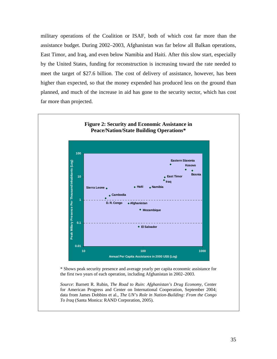military operations of the Coalition or ISAF, both of which cost far more than the assistance budget. During 2002–2003, Afghanistan was far below all Balkan operations, East Timor, and Iraq, and even below Namibia and Haiti. After this slow start, especially by the United States, funding for reconstruction is increasing toward the rate needed to meet the target of \$27.6 billion. The cost of delivery of assistance, however, has been higher than expected, so that the money expended has produced less on the ground than planned, and much of the increase in aid has gone to the security sector, which has cost far more than projected.



*Source*: Barnett R. Rubin, *The Road to Ruin: Afghanistan's Drug Economy*, Center for American Progress and Center on International Cooperation, September 2004; data from James Dobbins et al., *The UN's Role in Nation-Building: From the Congo To Iraq* (Santa Monica: RAND Corporation, 2005).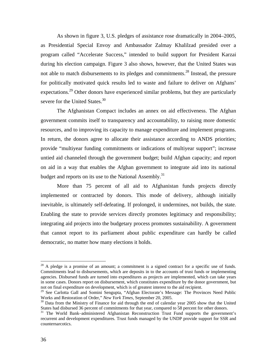As shown in figure 3, U.S. pledges of assistance rose dramatically in 2004–2005, as Presidential Special Envoy and Ambassador Zalmay Khalilzad presided over a program called "Accelerate Success," intended to build support for President Karzai during his election campaign. Figure 3 also shows, however, that the United States was not able to match disbursements to its pledges and commitments.<sup>28</sup> Instead, the pressure for politically motivated quick results led to waste and failure to deliver on Afghans' expectations.<sup>29</sup> Other donors have experienced similar problems, but they are particularly severe for the United States.<sup>[30](#page-47-2)</sup>

The Afghanistan Compact includes an annex on aid effectiveness. The Afghan government commits itself to transparency and accountability, to raising more domestic resources, and to improving its capacity to manage expenditure and implement programs. In return, the donors agree to allocate their assistance according to ANDS priorities; provide "multiyear funding commitments or indications of multiyear support"; increase untied aid channeled through the government budget; build Afghan capacity; and report on aid in a way that enables the Afghan government to integrate aid into its national budget and reports on its use to the National Assembly.<sup>31</sup>

More than 75 percent of all aid to Afghanistan funds projects directly implemented or contracted by donors. This mode of delivery, although initially inevitable, is ultimately self-defeating. If prolonged, it undermines, not builds, the state. Enabling the state to provide services directly promotes legitimacy and responsibility; integrating aid projects into the budgetary process promotes sustainability. A government that cannot report to its parliament about public expenditure can hardly be called democratic, no matter how many elections it holds.

 $\overline{a}$ 

<span id="page-47-0"></span> $28$  A pledge is a promise of an amount; a commitment is a signed contract for a specific use of funds. Commitments lead to disbursements, which are deposits in to the accounts of trust funds or implementing agencies. Disbursed funds are turned into expenditures as projects are implemented, which can take years in some cases. Donors report on disbursement, which constitutes expenditure by the donor government, but not on final expenditure on development, which is of greatest interest to the aid recipient.

<span id="page-47-1"></span><sup>&</sup>lt;sup>29</sup> See Carlotta Gall and Somini Sengupta, "Afghan Electorate's Message: The Provinces Need Public Works and Restoration of Order," New York Times, September 20, 2005.

<span id="page-47-2"></span><sup>&</sup>lt;sup>30</sup> Data from the Ministry of Finance for aid through the end of calendar year 2005 show that the United States had disbursed 36 percent of commitments for that year, compared to 58 percent for other donors.<br><sup>31</sup> The World Bank–administered Afghanistan Reconstruction Trust Fund supports the government's

<span id="page-47-3"></span>recurrent and development expenditures. Trust funds managed by the UNDP provide support for SSR and counternarcotics.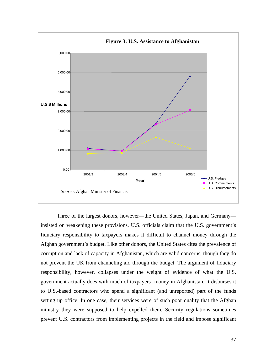

Three of the largest donors, however—the United States, Japan, and Germany insisted on weakening these provisions. U.S. officials claim that the U.S. government's fiduciary responsibility to taxpayers makes it difficult to channel money through the Afghan government's budget. Like other donors, the United States cites the prevalence of corruption and lack of capacity in Afghanistan, which are valid concerns, though they do not prevent the UK from channeling aid through the budget. The argument of fiduciary responsibility, however, collapses under the weight of evidence of what the U.S. government actually does with much of taxpayers' money in Afghanistan. It disburses it to U.S.-based contractors who spend a significant (and unreported) part of the funds setting up office. In one case, their services were of such poor quality that the Afghan ministry they were supposed to help expelled them. Security regulations sometimes prevent U.S. contractors from implementing projects in the field and impose significant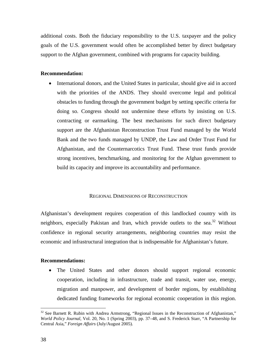additional costs. Both the fiduciary responsibility to the U.S. taxpayer and the policy goals of the U.S. government would often be accomplished better by direct budgetary support to the Afghan government, combined with programs for capacity building.

# **Recommendation:**

• International donors, and the United States in particular, should give aid in accord with the priorities of the ANDS. They should overcome legal and political obstacles to funding through the government budget by setting specific criteria for doing so. Congress should not undermine these efforts by insisting on U.S. contracting or earmarking. The best mechanisms for such direct budgetary support are the Afghanistan Reconstruction Trust Fund managed by the World Bank and the two funds managed by UNDP, the Law and Order Trust Fund for Afghanistan, and the Counternarcotics Trust Fund. These trust funds provide strong incentives, benchmarking, and monitoring for the Afghan government to build its capacity and improve its accountability and performance.

#### REGIONAL DIMENSIONS OF RECONSTRUCTION

Afghanistan's development requires cooperation of this landlocked country with its neighbors, especially Pakistan and Iran, which provide outlets to the sea.<sup>32</sup> Without confidence in regional security arrangements, neighboring countries may [re](#page-49-0)sist the economic and infrastructural integration that is indispensable for Afghanistan's future.

# **Recommendations:**

• The United States and other donors should support regional economic cooperation, including in infrastructure, trade and transit, water use, energy, migration and manpower, and development of border regions, by establishing dedicated funding frameworks for regional economic cooperation in this region.

1

<span id="page-49-0"></span><sup>&</sup>lt;sup>32</sup> See Barnett R. Rubin with Andrea Armstrong, "Regional Issues in the Reconstruction of Afghanistan," *World Policy Journal*, Vol. 20, No. 1 (Spring 2003), pp. 37–48, and S. Frederick Starr, "A Partnership for Central Asia," *Foreign Affairs* (July/August 2005).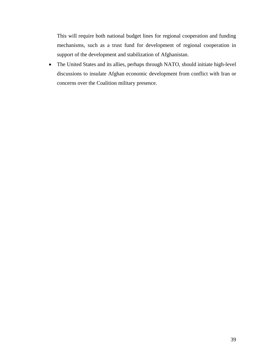This will require both national budget lines for regional cooperation and funding mechanisms, such as a trust fund for development of regional cooperation in support of the development and stabilization of Afghanistan.

• The United States and its allies, perhaps through NATO, should initiate high-level discussions to insulate Afghan economic development from conflict with Iran or concerns over the Coalition military presence.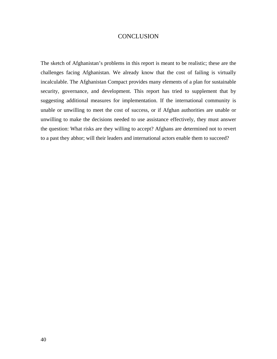# **CONCLUSION**

The sketch of Afghanistan's problems in this report is meant to be realistic; these are the challenges facing Afghanistan. We already know that the cost of failing is virtually incalculable. The Afghanistan Compact provides many elements of a plan for sustainable security, governance, and development. This report has tried to supplement that by suggesting additional measures for implementation. If the international community is unable or unwilling to meet the cost of success, or if Afghan authorities are unable or unwilling to make the decisions needed to use assistance effectively, they must answer the question: What risks are they willing to accept? Afghans are determined not to revert to a past they abhor; will their leaders and international actors enable them to succeed?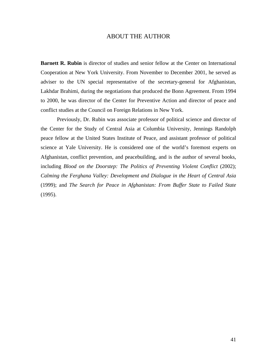# ABOUT THE AUTHOR

**Barnett R. Rubin** is director of studies and senior fellow at the Center on International Cooperation at New York University. From November to December 2001, he served as adviser to the UN special representative of the secretary-general for Afghanistan, Lakhdar Brahimi, during the negotiations that produced the Bonn Agreement. From 1994 to 2000, he was director of the Center for Preventive Action and director of peace and conflict studies at the Council on Foreign Relations in New York.

Previously, Dr. Rubin was associate professor of political science and director of the Center for the Study of Central Asia at Columbia University, Jennings Randolph peace fellow at the United States Institute of Peace, and assistant professor of political science at Yale University. He is considered one of the world's foremost experts on Afghanistan, conflict prevention, and peacebuilding, and is the author of several books, including *Blood on the Doorstep: The Politics of Preventing Violent Conflict* (2002); *Calming the Ferghana Valley: Development and Dialogue in the Heart of Central Asia*  (1999); and *The Search for Peace in Afghanistan: From Buffer State to Failed State*  (1995).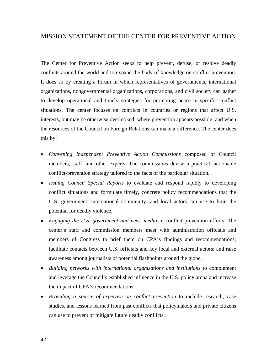# MISSION STATEMENT OF THE CENTER FOR PREVENTIVE ACTION

The Center for Preventive Action seeks to help prevent, defuse, or resolve deadly conflicts around the world and to expand the body of knowledge on conflict prevention. It does so by creating a forum in which representatives of governments, international organizations, nongovernmental organizations, corporations, and civil society can gather to develop operational and timely strategies for promoting peace in specific conflict situations. The center focuses on conflicts in countries or regions that affect U.S. interests, but may be otherwise overlooked; where prevention appears possible; and when the resources of the Council on Foreign Relations can make a difference. The center does this by:

- *Convening Independent Preventive Action Commissions* composed of Council members, staff, and other experts. The commissions devise a practical, actionable conflict-prevention strategy tailored to the facts of the particular situation.
- *Issuing Council Special Reports* to evaluate and respond rapidly to developing conflict situations and formulate timely, concrete policy recommendations that the U.S. government, international community, and local actors can use to limit the potential for deadly violence.
- *Engaging the U.S. government and news media* in conflict prevention efforts. The center's staff and commission members meet with administration officials and members of Congress to brief them on CPA's findings and recommendations; facilitate contacts between U.S. officials and key local and external actors; and raise awareness among journalists of potential flashpoints around the globe.
- *Building networks with international organizations and institutions* to complement and leverage the Council's established influence in the U.S. policy arena and increase the impact of CPA's recommendations.
- *Providing a source of expertise on conflict prevention* to include research, case studies, and lessons learned from past conflicts that policymakers and private citizens can use to prevent or mitigate future deadly conflicts.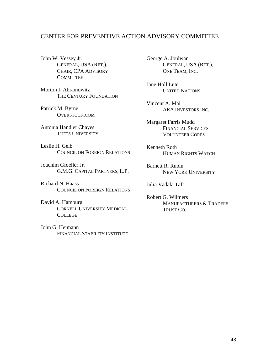# CENTER FOR PREVENTIVE ACTION ADVISORY COMMITTEE

John W. Vessey Jr. GENERAL, USA (RET.); CHAIR, CPA ADVISORY **COMMITTEE** 

Morton I. Abramowitz THE CENTURY FOUNDATION

Patrick M. Byrne OVERSTOCK.COM

Antonia Handler Chayes TUFTS UNIVERSITY

Leslie H. Gelb COUNCIL ON FOREIGN RELATIONS

Joachim Gfoeller Jr. G.M.G. CAPITAL PARTNERS, L.P.

Richard N. Haass COUNCIL ON FOREIGN RELATIONS

David A. Hamburg CORNELL UNIVERSITY MEDICAL **COLLEGE** 

John G. Heimann FINANCIAL STABILITY INSTITUTE George A. Joulwan GENERAL, USA (RET.); ONE TEAM, INC.

Jane Holl Lute UNITED NATIONS

Vincent A. Mai AEA INVESTORS INC.

Margaret Farris Mudd FINANCIAL SERVICES VOLUNTEER CORPS

Kenneth Roth HUMAN RIGHTS WATCH

Barnett R. Rubin NEW YORK UNIVERSITY

Julia Vadala Taft

Robert G. Wilmers MANUFACTURERS & TRADERS TRUST CO.